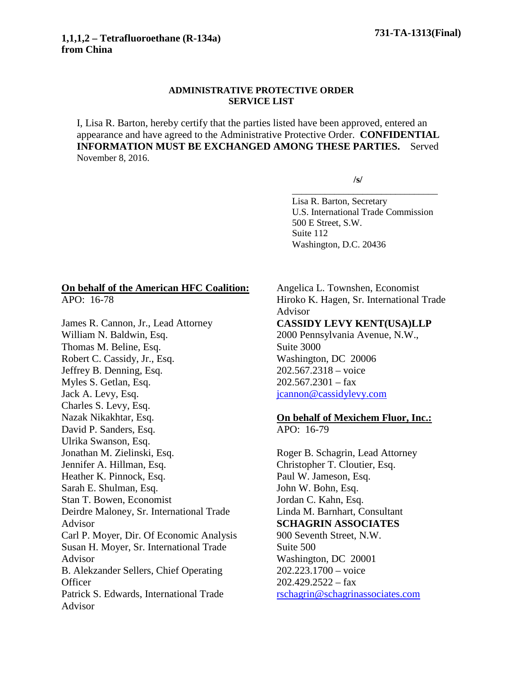## **ADMINISTRATIVE PROTECTIVE ORDER SERVICE LIST**

I, Lisa R. Barton, hereby certify that the parties listed have been approved, entered an appearance and have agreed to the Administrative Protective Order. **CONFIDENTIAL INFORMATION MUST BE EXCHANGED AMONG THESE PARTIES.** Served November 8, 2016.

**/s/**

Lisa R. Barton, Secretary U.S. International Trade Commission 500 E Street, S.W. Suite 112 Washington, D.C. 20436

\_\_\_\_\_\_\_\_\_\_\_\_\_\_\_\_\_\_\_\_\_\_\_\_\_\_\_\_\_\_\_

## **On behalf of the American HFC Coalition:** APO: 16-78

James R. Cannon, Jr., Lead Attorney William N. Baldwin, Esq. Thomas M. Beline, Esq. Robert C. Cassidy, Jr., Esq. Jeffrey B. Denning, Esq. Myles S. Getlan, Esq. Jack A. Levy, Esq. Charles S. Levy, Esq. Nazak Nikakhtar, Esq. David P. Sanders, Esq. Ulrika Swanson, Esq. Jonathan M. Zielinski, Esq. Jennifer A. Hillman, Esq. Heather K. Pinnock, Esq. Sarah E. Shulman, Esq. Stan T. Bowen, Economist Deirdre Maloney, Sr. International Trade Advisor Carl P. Moyer, Dir. Of Economic Analysis Susan H. Moyer, Sr. International Trade Advisor B. Alekzander Sellers, Chief Operating **Officer** Patrick S. Edwards, International Trade Advisor

Angelica L. Townshen, Economist Hiroko K. Hagen, Sr. International Trade Advisor **CASSIDY LEVY KENT(USA)LLP** 2000 Pennsylvania Avenue, N.W., Suite 3000 Washington, DC 20006 202.567.2318 – voice  $202.567.2301 - fax$ [jcannon@cassidylevy.com](mailto:jcannon@cassidylevy.com)

## **On behalf of Mexichem Fluor, Inc.:**

APO: 16-79

Roger B. Schagrin, Lead Attorney Christopher T. Cloutier, Esq. Paul W. Jameson, Esq. John W. Bohn, Esq. Jordan C. Kahn, Esq. Linda M. Barnhart, Consultant **SCHAGRIN ASSOCIATES** 900 Seventh Street, N.W. Suite 500 Washington, DC 20001 202.223.1700 – voice  $202.429.2522 - fax$ [rschagrin@schagrinassociates.com](mailto:rschagrin@schagrinassociates.com)